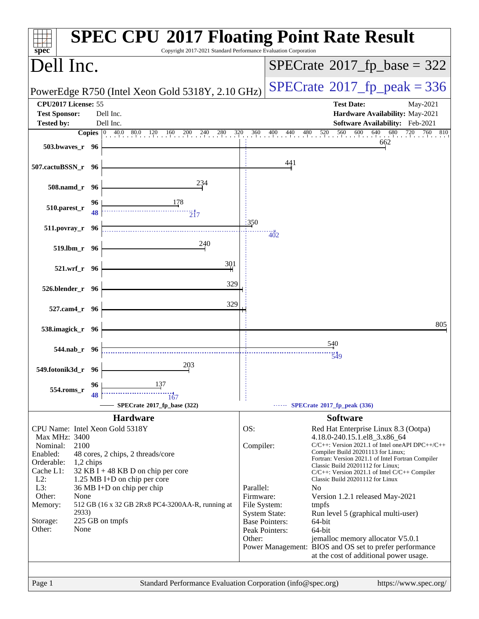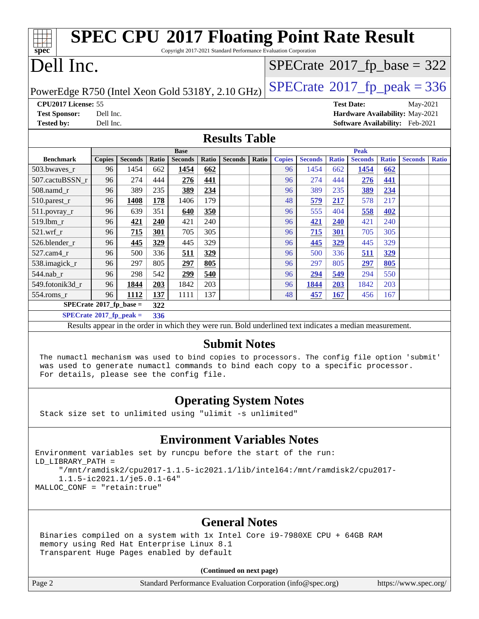| <b>SPEC CPU®2017 Floating Point Rate Result</b><br>Copyright 2017-2021 Standard Performance Evaluation Corporation                                                                                                                                  |           |                |       |                |              |                                                                                                          |       |               |                                            |              |                   |              |                                 |              |
|-----------------------------------------------------------------------------------------------------------------------------------------------------------------------------------------------------------------------------------------------------|-----------|----------------|-------|----------------|--------------|----------------------------------------------------------------------------------------------------------|-------|---------------|--------------------------------------------|--------------|-------------------|--------------|---------------------------------|--------------|
| spec <sup>®</sup>                                                                                                                                                                                                                                   |           |                |       |                |              |                                                                                                          |       |               |                                            |              |                   |              |                                 |              |
| Dell Inc.                                                                                                                                                                                                                                           |           |                |       |                |              |                                                                                                          |       |               | $SPECTate$ <sup>®</sup> 2017_fp_base = 322 |              |                   |              |                                 |              |
| $SPECTate@2017fr peak = 336$<br>PowerEdge R750 (Intel Xeon Gold 5318Y, 2.10 GHz)                                                                                                                                                                    |           |                |       |                |              |                                                                                                          |       |               |                                            |              |                   |              |                                 |              |
| CPU2017 License: 55                                                                                                                                                                                                                                 |           |                |       |                |              |                                                                                                          |       |               |                                            |              | <b>Test Date:</b> |              | May-2021                        |              |
| <b>Test Sponsor:</b>                                                                                                                                                                                                                                | Dell Inc. |                |       |                |              |                                                                                                          |       |               |                                            |              |                   |              | Hardware Availability: May-2021 |              |
| <b>Tested by:</b><br>Dell Inc.<br>Software Availability: Feb-2021                                                                                                                                                                                   |           |                |       |                |              |                                                                                                          |       |               |                                            |              |                   |              |                                 |              |
|                                                                                                                                                                                                                                                     |           |                |       |                |              | <b>Results Table</b>                                                                                     |       |               |                                            |              |                   |              |                                 |              |
|                                                                                                                                                                                                                                                     |           |                |       | <b>Base</b>    |              |                                                                                                          |       |               |                                            |              | <b>Peak</b>       |              |                                 |              |
| <b>Benchmark</b>                                                                                                                                                                                                                                    | Copies    | <b>Seconds</b> | Ratio | <b>Seconds</b> | <b>Ratio</b> | <b>Seconds</b>                                                                                           | Ratio | <b>Copies</b> | <b>Seconds</b>                             | <b>Ratio</b> | <b>Seconds</b>    | <b>Ratio</b> | <b>Seconds</b>                  | <b>Ratio</b> |
| 503.bwaves_r                                                                                                                                                                                                                                        | 96        | 1454           | 662   | 1454           | 662          |                                                                                                          |       | 96            | 1454                                       | 662          | 1454              | 662          |                                 |              |
| 507.cactuBSSN r                                                                                                                                                                                                                                     | 96        | 274            | 444   | 276            | 441          |                                                                                                          |       | 96            | 274                                        | 444          | 276               | 441          |                                 |              |
| 508.namd_r                                                                                                                                                                                                                                          | 96        | 389            | 235   | 389            | 234          |                                                                                                          |       | 96            | 389                                        | 235          | 389               | 234          |                                 |              |
| 510.parest_r                                                                                                                                                                                                                                        | 96        | 1408           | 178   | 1406           | 179          |                                                                                                          |       | 48            | 579                                        | 217          | 578               | 217          |                                 |              |
| 511.povray_r                                                                                                                                                                                                                                        | 96        | 639            | 351   | 640            | 350          |                                                                                                          |       | 96            | 555                                        | 404          | 558               | 402          |                                 |              |
| 519.1bm_r                                                                                                                                                                                                                                           | 96        | 421            | 240   | 421            | 240          |                                                                                                          |       | 96            | 421                                        | 240          | 421               | 240          |                                 |              |
| $521.wrf_r$                                                                                                                                                                                                                                         | 96        | 715            | 301   | 705            | 305          |                                                                                                          |       | 96            | 715                                        | 301          | 705               | 305          |                                 |              |
| 526.blender_r                                                                                                                                                                                                                                       | 96        | 445            | 329   | 445            | 329          |                                                                                                          |       | 96            | 445                                        | 329          | 445               | 329          |                                 |              |
| 527.cam4_r                                                                                                                                                                                                                                          | 96        | 500            | 336   | 511            | 329          |                                                                                                          |       | 96            | 500                                        | 336          | 511               | 329          |                                 |              |
| 538.imagick_r                                                                                                                                                                                                                                       | 96        | 297            | 805   | 297            | 805          |                                                                                                          |       | 96            | 297                                        | 805          | 297               | 805          |                                 |              |
| 544.nab_r                                                                                                                                                                                                                                           | 96        | 298            | 542   | 299            | 540          |                                                                                                          |       | 96            | 294                                        | 549          | 294               | 550          |                                 |              |
| 549.fotonik3d_r                                                                                                                                                                                                                                     | 96        | 1844           | 203   | 1842           | 203          |                                                                                                          |       | 96            | 1844                                       | <b>203</b>   | 1842              | 203          |                                 |              |
| $554$ .roms_r                                                                                                                                                                                                                                       | 96        | 1112           | 137   | 1111           | 137          |                                                                                                          |       | 48            | 457                                        | <b>167</b>   | 456               | 167          |                                 |              |
| $SPECrate$ <sup>®</sup> 2017_fp_base =<br>322<br>$SPECTate$ <sup>®</sup> 2017_fp_peak =<br>336                                                                                                                                                      |           |                |       |                |              |                                                                                                          |       |               |                                            |              |                   |              |                                 |              |
|                                                                                                                                                                                                                                                     |           |                |       |                |              | Results appear in the order in which they were run. Bold underlined text indicates a median measurement. |       |               |                                            |              |                   |              |                                 |              |
|                                                                                                                                                                                                                                                     |           |                |       |                |              |                                                                                                          |       |               |                                            |              |                   |              |                                 |              |
| <b>Submit Notes</b><br>The numactl mechanism was used to bind copies to processors. The config file option 'submit'<br>was used to generate numactl commands to bind each copy to a specific processor.<br>For details, please see the config file. |           |                |       |                |              |                                                                                                          |       |               |                                            |              |                   |              |                                 |              |
| <b>Operating System Notes</b><br>Stack size set to unlimited using "ulimit -s unlimited"                                                                                                                                                            |           |                |       |                |              |                                                                                                          |       |               |                                            |              |                   |              |                                 |              |
| <b>Environment Variables Notes</b>                                                                                                                                                                                                                  |           |                |       |                |              |                                                                                                          |       |               |                                            |              |                   |              |                                 |              |
| Environment variables set by runcpu before the start of the run:<br>LD LIBRARY PATH =<br>"/mnt/ramdisk2/cpu2017-1.1.5-ic2021.1/lib/intel64:/mnt/ramdisk2/cpu2017-<br>$1.1.5 - i c 2021.1/j e 5.0.1 - 64"$<br>MALLOC_CONF = "retain:true"            |           |                |       |                |              |                                                                                                          |       |               |                                            |              |                   |              |                                 |              |

### **[General Notes](http://www.spec.org/auto/cpu2017/Docs/result-fields.html#GeneralNotes)**

 Binaries compiled on a system with 1x Intel Core i9-7980XE CPU + 64GB RAM memory using Red Hat Enterprise Linux 8.1 Transparent Huge Pages enabled by default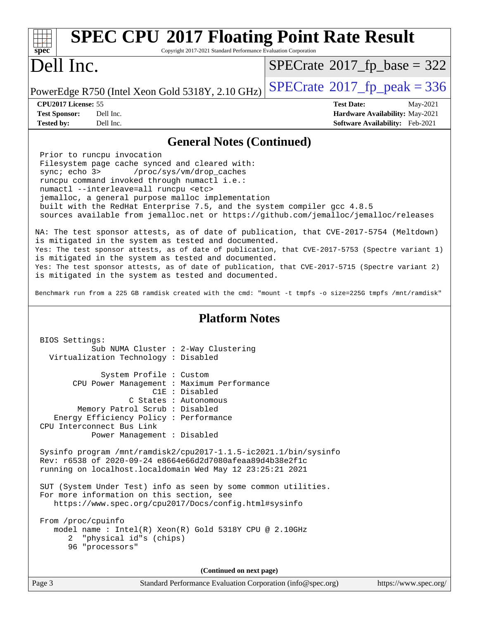| <b>SPEC CPU®2017 Floating Point Rate Result</b><br>Copyright 2017-2021 Standard Performance Evaluation Corporation<br>$spec^*$                                                                                                                                                                                                                                                                                                                                                                                                                                                                                                                                                                                                                                                                                                                                                                                                                                                                                                                         |                                                                                                     |  |  |  |  |  |
|--------------------------------------------------------------------------------------------------------------------------------------------------------------------------------------------------------------------------------------------------------------------------------------------------------------------------------------------------------------------------------------------------------------------------------------------------------------------------------------------------------------------------------------------------------------------------------------------------------------------------------------------------------------------------------------------------------------------------------------------------------------------------------------------------------------------------------------------------------------------------------------------------------------------------------------------------------------------------------------------------------------------------------------------------------|-----------------------------------------------------------------------------------------------------|--|--|--|--|--|
| Dell Inc.                                                                                                                                                                                                                                                                                                                                                                                                                                                                                                                                                                                                                                                                                                                                                                                                                                                                                                                                                                                                                                              | $SPECTate@2017_fp\_base = 322$                                                                      |  |  |  |  |  |
| PowerEdge R750 (Intel Xeon Gold 5318Y, 2.10 GHz)                                                                                                                                                                                                                                                                                                                                                                                                                                                                                                                                                                                                                                                                                                                                                                                                                                                                                                                                                                                                       | $SPECTate@2017_fp\_peak = 336$                                                                      |  |  |  |  |  |
| CPU2017 License: 55<br><b>Test Sponsor:</b><br>Dell Inc.<br>Dell Inc.<br><b>Tested by:</b>                                                                                                                                                                                                                                                                                                                                                                                                                                                                                                                                                                                                                                                                                                                                                                                                                                                                                                                                                             | <b>Test Date:</b><br>May-2021<br>Hardware Availability: May-2021<br>Software Availability: Feb-2021 |  |  |  |  |  |
| <b>General Notes (Continued)</b>                                                                                                                                                                                                                                                                                                                                                                                                                                                                                                                                                                                                                                                                                                                                                                                                                                                                                                                                                                                                                       |                                                                                                     |  |  |  |  |  |
| Prior to runcpu invocation<br>Filesystem page cache synced and cleared with:<br>/proc/sys/vm/drop_caches<br>sync $i$ echo $3$<br>runcpu command invoked through numactl i.e.:<br>numactl --interleave=all runcpu <etc><br/>jemalloc, a general purpose malloc implementation<br/>built with the RedHat Enterprise 7.5, and the system compiler gcc 4.8.5<br/>sources available from jemalloc.net or https://github.com/jemalloc/jemalloc/releases<br/>NA: The test sponsor attests, as of date of publication, that CVE-2017-5754 (Meltdown)<br/>is mitigated in the system as tested and documented.<br/>Yes: The test sponsor attests, as of date of publication, that CVE-2017-5753 (Spectre variant 1)<br/>is mitigated in the system as tested and documented.<br/>Yes: The test sponsor attests, as of date of publication, that CVE-2017-5715 (Spectre variant 2)<br/>is mitigated in the system as tested and documented.<br/>Benchmark run from a 225 GB ramdisk created with the cmd: "mount -t tmpfs -o size=225G tmpfs /mnt/ramdisk"</etc> |                                                                                                     |  |  |  |  |  |
| <b>Platform Notes</b>                                                                                                                                                                                                                                                                                                                                                                                                                                                                                                                                                                                                                                                                                                                                                                                                                                                                                                                                                                                                                                  |                                                                                                     |  |  |  |  |  |
| BIOS Settings:<br>Sub NUMA Cluster : 2-Way Clustering<br>Virtualization Technology : Disabled                                                                                                                                                                                                                                                                                                                                                                                                                                                                                                                                                                                                                                                                                                                                                                                                                                                                                                                                                          |                                                                                                     |  |  |  |  |  |
| System Profile : Custom<br>CPU Power Management : Maximum Performance<br>$C1E$ : Disabled<br>C States : Autonomous<br>Memory Patrol Scrub : Disabled<br>Energy Efficiency Policy : Performance<br>CPU Interconnect Bus Link<br>Power Management : Disabled<br>Sysinfo program /mnt/ramdisk2/cpu2017-1.1.5-ic2021.1/bin/sysinfo<br>Rev: r6538 of 2020-09-24 e8664e66d2d7080afeaa89d4b38e2f1c<br>running on localhost.localdomain Wed May 12 23:25:21 2021<br>SUT (System Under Test) info as seen by some common utilities.<br>For more information on this section, see<br>https://www.spec.org/cpu2017/Docs/config.html#sysinfo                                                                                                                                                                                                                                                                                                                                                                                                                       |                                                                                                     |  |  |  |  |  |
| From /proc/cpuinfo<br>model name: $Intel(R)$ Xeon $(R)$ Gold 5318Y CPU @ 2.10GHz<br>"physical id"s (chips)<br>2<br>96 "processors"                                                                                                                                                                                                                                                                                                                                                                                                                                                                                                                                                                                                                                                                                                                                                                                                                                                                                                                     |                                                                                                     |  |  |  |  |  |
| (Continued on next page)                                                                                                                                                                                                                                                                                                                                                                                                                                                                                                                                                                                                                                                                                                                                                                                                                                                                                                                                                                                                                               |                                                                                                     |  |  |  |  |  |
| Page 3<br>Standard Performance Evaluation Corporation (info@spec.org)                                                                                                                                                                                                                                                                                                                                                                                                                                                                                                                                                                                                                                                                                                                                                                                                                                                                                                                                                                                  | https://www.spec.org/                                                                               |  |  |  |  |  |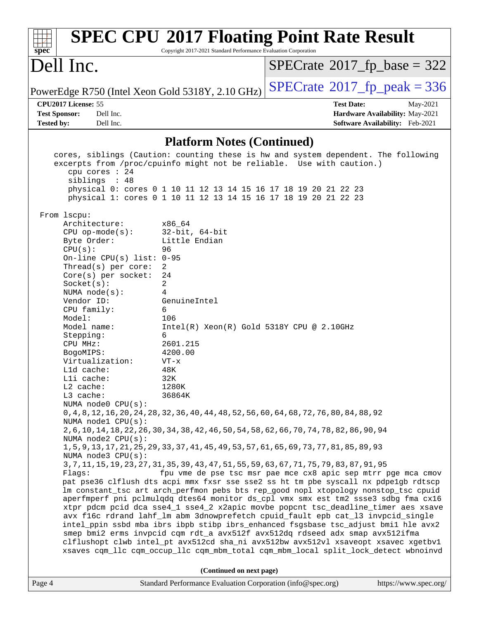| <b>SPEC CPU®2017 Floating Point Rate Result</b><br>Copyright 2017-2021 Standard Performance Evaluation Corporation<br>spec <sup>®</sup>                                                                                                                                                                                                           |  |
|---------------------------------------------------------------------------------------------------------------------------------------------------------------------------------------------------------------------------------------------------------------------------------------------------------------------------------------------------|--|
| Dell Inc.<br>$SPECrate^{\circ}2017$ [p base = 322                                                                                                                                                                                                                                                                                                 |  |
| $SPECTate$ <sup>®</sup> 2017_fp_peak = 336<br>PowerEdge R750 (Intel Xeon Gold 5318Y, 2.10 GHz)                                                                                                                                                                                                                                                    |  |
| CPU2017 License: 55<br><b>Test Date:</b><br>May-2021                                                                                                                                                                                                                                                                                              |  |
| <b>Test Sponsor:</b><br>Dell Inc.<br>Hardware Availability: May-2021<br><b>Tested by:</b><br>Dell Inc.<br>Software Availability: Feb-2021                                                                                                                                                                                                         |  |
|                                                                                                                                                                                                                                                                                                                                                   |  |
| <b>Platform Notes (Continued)</b>                                                                                                                                                                                                                                                                                                                 |  |
| cores, siblings (Caution: counting these is hw and system dependent. The following<br>excerpts from /proc/cpuinfo might not be reliable. Use with caution.)<br>cpu cores : 24<br>siblings : 48<br>physical 0: cores 0 1 10 11 12 13 14 15 16 17 18 19 20 21 22 23<br>physical 1: cores 0 1 10 11 12 13 14 15 16 17 18 19 20 21 22 23              |  |
| From lscpu:<br>Architecture:<br>x86 64                                                                                                                                                                                                                                                                                                            |  |
| $32$ -bit, $64$ -bit<br>$CPU$ op-mode( $s$ ):<br>Little Endian<br>Byte Order:<br>CPU(s):<br>96<br>On-line CPU(s) list: $0-95$                                                                                                                                                                                                                     |  |
| 2<br>Thread(s) per core:                                                                                                                                                                                                                                                                                                                          |  |
| Core(s) per socket:<br>24<br>2<br>Socket(s):                                                                                                                                                                                                                                                                                                      |  |
| NUMA $node(s):$<br>4<br>Vendor ID:<br>GenuineIntel                                                                                                                                                                                                                                                                                                |  |
| CPU family:<br>6                                                                                                                                                                                                                                                                                                                                  |  |
| Model:<br>106                                                                                                                                                                                                                                                                                                                                     |  |
| Model name:<br>$Intel(R) Xeon(R) Gold 5318Y CPU @ 2.10GHz$<br>Stepping:<br>6                                                                                                                                                                                                                                                                      |  |
| 2601.215<br>CPU MHz:                                                                                                                                                                                                                                                                                                                              |  |
| 4200.00<br>BogoMIPS:<br>Virtualization:<br>$VT - x$                                                                                                                                                                                                                                                                                               |  |
| Lld cache:<br>48K                                                                                                                                                                                                                                                                                                                                 |  |
| 32K<br>Lli cache:<br>1280K                                                                                                                                                                                                                                                                                                                        |  |
| $L2$ cache:<br>L3 cache:<br>36864K                                                                                                                                                                                                                                                                                                                |  |
| NUMA node0 CPU(s):                                                                                                                                                                                                                                                                                                                                |  |
| 0, 4, 8, 12, 16, 20, 24, 28, 32, 36, 40, 44, 48, 52, 56, 60, 64, 68, 72, 76, 80, 84, 88, 92<br>NUMA nodel CPU(s):<br>2, 6, 10, 14, 18, 22, 26, 30, 34, 38, 42, 46, 50, 54, 58, 62, 66, 70, 74, 78, 82, 86, 90, 94                                                                                                                                 |  |
| NUMA node2 CPU(s):<br>1, 5, 9, 13, 17, 21, 25, 29, 33, 37, 41, 45, 49, 53, 57, 61, 65, 69, 73, 77, 81, 85, 89, 93                                                                                                                                                                                                                                 |  |
| NUMA node3 CPU(s):                                                                                                                                                                                                                                                                                                                                |  |
| 3, 7, 11, 15, 19, 23, 27, 31, 35, 39, 43, 47, 51, 55, 59, 63, 67, 71, 75, 79, 83, 87, 91, 95<br>fpu vme de pse tsc msr pae mce cx8 apic sep mtrr pge mca cmov<br>Flags:                                                                                                                                                                           |  |
| pat pse36 clflush dts acpi mmx fxsr sse sse2 ss ht tm pbe syscall nx pdpe1gb rdtscp                                                                                                                                                                                                                                                               |  |
| lm constant_tsc art arch_perfmon pebs bts rep_good nopl xtopology nonstop_tsc cpuid<br>aperfmperf pni pclmulqdq dtes64 monitor ds_cpl vmx smx est tm2 ssse3 sdbg fma cx16<br>xtpr pdcm pcid dca sse4_1 sse4_2 x2apic movbe popcnt tsc_deadline_timer aes xsave<br>avx f16c rdrand lahf_lm abm 3dnowprefetch cpuid_fault epb cat_13 invpcid_single |  |
| intel_ppin ssbd mba ibrs ibpb stibp ibrs_enhanced fsgsbase tsc_adjust bmil hle avx2<br>smep bmi2 erms invpcid cqm rdt_a avx512f avx512dq rdseed adx smap avx512ifma<br>clflushopt clwb intel_pt avx512cd sha_ni avx512bw avx512vl xsaveopt xsavec xgetbvl<br>xsaves cqm_llc cqm_occup_llc cqm_mbm_total cqm_mbm_local split_lock_detect wbnoinvd  |  |
|                                                                                                                                                                                                                                                                                                                                                   |  |
| (Continued on next page)<br>Standard Performance Evaluation Corporation (info@spec.org)<br>https://www.spec.org/<br>Page 4                                                                                                                                                                                                                        |  |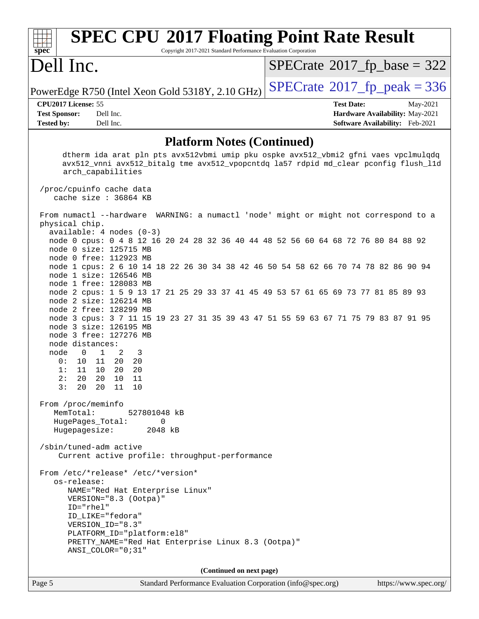| Dell Inc.                                                                                                                                                                                                                                                                                                                                                                                                                                                                                                                                                                                                                                                                                                                                                                                                                                                                                         | $SPECrate^{\circledcirc}2017_fp\_base = 322$                                                        |
|---------------------------------------------------------------------------------------------------------------------------------------------------------------------------------------------------------------------------------------------------------------------------------------------------------------------------------------------------------------------------------------------------------------------------------------------------------------------------------------------------------------------------------------------------------------------------------------------------------------------------------------------------------------------------------------------------------------------------------------------------------------------------------------------------------------------------------------------------------------------------------------------------|-----------------------------------------------------------------------------------------------------|
| PowerEdge R750 (Intel Xeon Gold 5318Y, 2.10 GHz)                                                                                                                                                                                                                                                                                                                                                                                                                                                                                                                                                                                                                                                                                                                                                                                                                                                  | $SPECTate@2017_fp\_peak = 336$                                                                      |
| CPU2017 License: 55<br><b>Test Sponsor:</b><br>Dell Inc.<br><b>Tested by:</b><br>Dell Inc.                                                                                                                                                                                                                                                                                                                                                                                                                                                                                                                                                                                                                                                                                                                                                                                                        | <b>Test Date:</b><br>May-2021<br>Hardware Availability: May-2021<br>Software Availability: Feb-2021 |
| <b>Platform Notes (Continued)</b>                                                                                                                                                                                                                                                                                                                                                                                                                                                                                                                                                                                                                                                                                                                                                                                                                                                                 |                                                                                                     |
| dtherm ida arat pln pts avx512vbmi umip pku ospke avx512_vbmi2 gfni vaes vpclmulqdq<br>avx512_vnni avx512_bitalg tme avx512_vpopcntdq la57 rdpid md_clear pconfig flush_11d<br>arch_capabilities<br>/proc/cpuinfo cache data                                                                                                                                                                                                                                                                                                                                                                                                                                                                                                                                                                                                                                                                      |                                                                                                     |
| cache size : 36864 KB                                                                                                                                                                                                                                                                                                                                                                                                                                                                                                                                                                                                                                                                                                                                                                                                                                                                             |                                                                                                     |
| From numactl --hardware WARNING: a numactl 'node' might or might not correspond to a<br>physical chip.<br>$available: 4 nodes (0-3)$<br>node 0 cpus: 0 4 8 12 16 20 24 28 32 36 40 44 48 52 56 60 64 68 72 76 80 84 88 92<br>node 0 size: 125715 MB<br>node 0 free: 112923 MB<br>node 1 cpus: 2 6 10 14 18 22 26 30 34 38 42 46 50 54 58 62 66 70 74 78 82 86 90 94<br>node 1 size: 126546 MB<br>node 1 free: 128083 MB<br>node 2 cpus: 1 5 9 13 17 21 25 29 33 37 41 45 49 53 57 61 65 69 73 77 81 85 89 93<br>node 2 size: 126214 MB<br>node 2 free: 128299 MB<br>node 3 cpus: 3 7 11 15 19 23 27 31 35 39 43 47 51 55 59 63 67 71 75 79 83 87 91 95<br>node 3 size: 126195 MB<br>node 3 free: 127276 MB<br>node distances:<br>node<br>$\overline{\phantom{0}}$<br>$\mathbf{1}$<br>2<br>3<br>0:<br>11<br>20<br>10<br>20<br>20<br>1:<br>11<br>10<br>20<br>2:<br>20  20  10  11<br>3: 20 20 11 10 |                                                                                                     |
| From /proc/meminfo<br>MemTotal:<br>527801048 kB<br>HugePages_Total: 0<br>Hugepagesize: 2048 kB                                                                                                                                                                                                                                                                                                                                                                                                                                                                                                                                                                                                                                                                                                                                                                                                    |                                                                                                     |
| /sbin/tuned-adm active<br>Current active profile: throughput-performance                                                                                                                                                                                                                                                                                                                                                                                                                                                                                                                                                                                                                                                                                                                                                                                                                          |                                                                                                     |
| From /etc/*release* /etc/*version*                                                                                                                                                                                                                                                                                                                                                                                                                                                                                                                                                                                                                                                                                                                                                                                                                                                                |                                                                                                     |

 os-release: NAME="Red Hat Enterprise Linux" VERSION="8.3 (Ootpa)" ID="rhel" ID\_LIKE="fedora" VERSION\_ID="8.3" PLATFORM\_ID="platform:el8" PRETTY\_NAME="Red Hat Enterprise Linux 8.3 (Ootpa)" ANSI\_COLOR="0;31"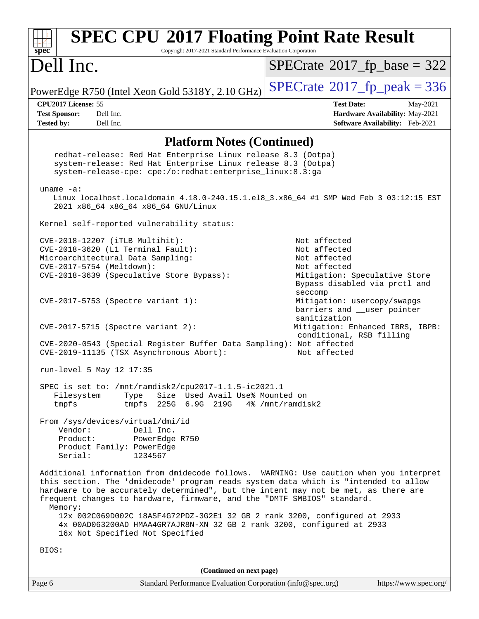| <b>SPEC CPU®2017 Floating Point Rate Result</b><br>Spec<br>Copyright 2017-2021 Standard Performance Evaluation Corporation                                                                                                                                                                                                                                |                                                                            |
|-----------------------------------------------------------------------------------------------------------------------------------------------------------------------------------------------------------------------------------------------------------------------------------------------------------------------------------------------------------|----------------------------------------------------------------------------|
| Dell Inc.                                                                                                                                                                                                                                                                                                                                                 | $SPECTate$ <sup>®</sup> 2017_fp_base = 322                                 |
| PowerEdge R750 (Intel Xeon Gold 5318Y, 2.10 GHz)                                                                                                                                                                                                                                                                                                          | $SPECTate$ <sup>®</sup> 2017_fp_peak = 336                                 |
| CPU2017 License: 55                                                                                                                                                                                                                                                                                                                                       | <b>Test Date:</b><br>May-2021                                              |
| Dell Inc.<br><b>Test Sponsor:</b>                                                                                                                                                                                                                                                                                                                         | Hardware Availability: May-2021                                            |
| Dell Inc.<br><b>Tested by:</b>                                                                                                                                                                                                                                                                                                                            | Software Availability: Feb-2021                                            |
| <b>Platform Notes (Continued)</b>                                                                                                                                                                                                                                                                                                                         |                                                                            |
| redhat-release: Red Hat Enterprise Linux release 8.3 (Ootpa)<br>system-release: Red Hat Enterprise Linux release 8.3 (Ootpa)<br>system-release-cpe: cpe:/o:redhat:enterprise_linux:8.3:ga                                                                                                                                                                 |                                                                            |
| $uname -a$ :                                                                                                                                                                                                                                                                                                                                              |                                                                            |
| Linux localhost.localdomain 4.18.0-240.15.1.el8_3.x86_64 #1 SMP Wed Feb 3 03:12:15 EST<br>2021 x86_64 x86_64 x86_64 GNU/Linux                                                                                                                                                                                                                             |                                                                            |
| Kernel self-reported vulnerability status:                                                                                                                                                                                                                                                                                                                |                                                                            |
| CVE-2018-12207 (iTLB Multihit):                                                                                                                                                                                                                                                                                                                           | Not affected                                                               |
| CVE-2018-3620 (L1 Terminal Fault):                                                                                                                                                                                                                                                                                                                        | Not affected                                                               |
| Microarchitectural Data Sampling:<br>CVE-2017-5754 (Meltdown):                                                                                                                                                                                                                                                                                            | Not affected<br>Not affected                                               |
| CVE-2018-3639 (Speculative Store Bypass):                                                                                                                                                                                                                                                                                                                 | Mitigation: Speculative Store<br>Bypass disabled via prctl and<br>seccomp  |
| CVE-2017-5753 (Spectre variant 1):                                                                                                                                                                                                                                                                                                                        | Mitigation: usercopy/swapgs<br>barriers and __user pointer<br>sanitization |
| CVE-2017-5715 (Spectre variant 2):                                                                                                                                                                                                                                                                                                                        | Mitigation: Enhanced IBRS, IBPB:<br>conditional, RSB filling               |
| CVE-2020-0543 (Special Register Buffer Data Sampling): Not affected<br>CVE-2019-11135 (TSX Asynchronous Abort):                                                                                                                                                                                                                                           | Not affected                                                               |
| run-level 5 May 12 17:35                                                                                                                                                                                                                                                                                                                                  |                                                                            |
| SPEC is set to: /mnt/ramdisk2/cpu2017-1.1.5-ic2021.1<br>Type<br>Size Used Avail Use% Mounted on<br>Filesystem<br>225G 6.9G 219G 4% / mnt/ramdisk2<br>tmpfs<br>tmpfs                                                                                                                                                                                       |                                                                            |
| From /sys/devices/virtual/dmi/id                                                                                                                                                                                                                                                                                                                          |                                                                            |
| Vendor:<br>Dell Inc.                                                                                                                                                                                                                                                                                                                                      |                                                                            |
| Product:<br>PowerEdge R750                                                                                                                                                                                                                                                                                                                                |                                                                            |
| Product Family: PowerEdge<br>Serial:<br>1234567                                                                                                                                                                                                                                                                                                           |                                                                            |
| Additional information from dmidecode follows. WARNING: Use caution when you interpret<br>this section. The 'dmidecode' program reads system data which is "intended to allow<br>hardware to be accurately determined", but the intent may not be met, as there are<br>frequent changes to hardware, firmware, and the "DMTF SMBIOS" standard.<br>Memory: |                                                                            |
| 12x 002C069D002C 18ASF4G72PDZ-3G2E1 32 GB 2 rank 3200, configured at 2933<br>4x 00AD063200AD HMAA4GR7AJR8N-XN 32 GB 2 rank 3200, configured at 2933<br>16x Not Specified Not Specified                                                                                                                                                                    |                                                                            |
| BIOS:                                                                                                                                                                                                                                                                                                                                                     |                                                                            |
| (Continued on next page)                                                                                                                                                                                                                                                                                                                                  |                                                                            |
| Page 6<br>Standard Performance Evaluation Corporation (info@spec.org)                                                                                                                                                                                                                                                                                     | https://www.spec.org/                                                      |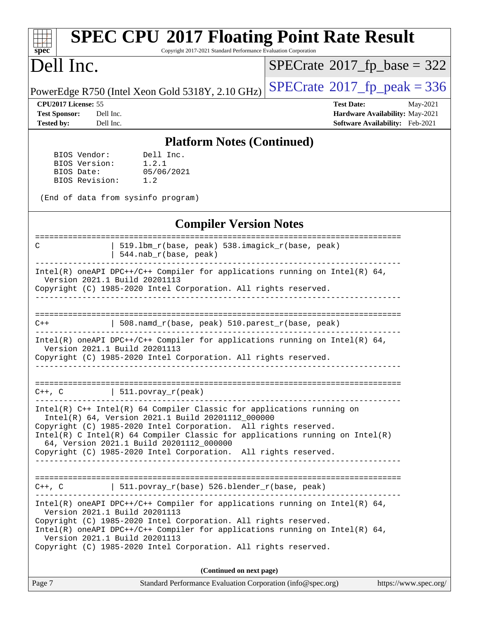| <b>SPEC CPU®2017 Floating Point Rate Result</b><br>Copyright 2017-2021 Standard Performance Evaluation Corporation<br>$spec^*$                                                                                                                                                                                                                                                                                          |                                                                                                     |
|-------------------------------------------------------------------------------------------------------------------------------------------------------------------------------------------------------------------------------------------------------------------------------------------------------------------------------------------------------------------------------------------------------------------------|-----------------------------------------------------------------------------------------------------|
| Dell Inc.                                                                                                                                                                                                                                                                                                                                                                                                               | $SPECTate$ <sup>®</sup> 2017_fp_base = 322                                                          |
| PowerEdge R750 (Intel Xeon Gold 5318Y, 2.10 GHz)                                                                                                                                                                                                                                                                                                                                                                        | $SPECTate@2017fr peak = 336$                                                                        |
| CPU2017 License: 55<br><b>Test Sponsor:</b><br>Dell Inc.<br><b>Tested by:</b><br>Dell Inc.                                                                                                                                                                                                                                                                                                                              | <b>Test Date:</b><br>May-2021<br>Hardware Availability: May-2021<br>Software Availability: Feb-2021 |
| <b>Platform Notes (Continued)</b>                                                                                                                                                                                                                                                                                                                                                                                       |                                                                                                     |
| Dell Inc.<br>BIOS Vendor:<br>BIOS Version:<br>1.2.1<br>05/06/2021<br>BIOS Date:<br>BIOS Revision:<br>1.2<br>(End of data from sysinfo program)                                                                                                                                                                                                                                                                          |                                                                                                     |
| <b>Compiler Version Notes</b>                                                                                                                                                                                                                                                                                                                                                                                           |                                                                                                     |
| 519.1bm_r(base, peak) 538.imagick_r(base, peak)<br>C<br>544.nab_r(base, peak)                                                                                                                                                                                                                                                                                                                                           |                                                                                                     |
| Intel(R) oneAPI DPC++/C++ Compiler for applications running on Intel(R) 64,<br>Version 2021.1 Build 20201113<br>Copyright (C) 1985-2020 Intel Corporation. All rights reserved.                                                                                                                                                                                                                                         |                                                                                                     |
| 508.namd_r(base, peak) 510.parest_r(base, peak)                                                                                                                                                                                                                                                                                                                                                                         |                                                                                                     |
| Intel(R) oneAPI DPC++/C++ Compiler for applications running on Intel(R) $64$ ,<br>Version 2021.1 Build 20201113<br>Copyright (C) 1985-2020 Intel Corporation. All rights reserved.                                                                                                                                                                                                                                      |                                                                                                     |
| $C++$ , $C$   511.povray_r(peak)                                                                                                                                                                                                                                                                                                                                                                                        |                                                                                                     |
| $Intel(R)$ C++ Intel(R) 64 Compiler Classic for applications running on<br>Intel(R) 64, Version 2021.1 Build 20201112_000000<br>Copyright (C) 1985-2020 Intel Corporation. All rights reserved.<br>$Intel(R)$ C Intel(R) 64 Compiler Classic for applications running on Intel(R)<br>64, Version 2021.1 Build 20201112 000000<br>Copyright (C) 1985-2020 Intel Corporation. All rights reserved.<br>___________________ |                                                                                                     |
|                                                                                                                                                                                                                                                                                                                                                                                                                         |                                                                                                     |
| C++, C $  511.povray_r(base) 526.blender_r(base, peak)$                                                                                                                                                                                                                                                                                                                                                                 |                                                                                                     |
| $Intel(R)$ oneAPI DPC++/C++ Compiler for applications running on Intel(R) 64,<br>Version 2021.1 Build 20201113<br>Copyright (C) 1985-2020 Intel Corporation. All rights reserved.<br>$Intel(R)$ oneAPI DPC++/C++ Compiler for applications running on Intel(R) 64,<br>Version 2021.1 Build 20201113                                                                                                                     |                                                                                                     |

Copyright (C) 1985-2020 Intel Corporation. All rights reserved.

| Page 7 | Standard Performance Evaluation Corporation (info@spec.org) | https://www.spec.org/ |
|--------|-------------------------------------------------------------|-----------------------|
|--------|-------------------------------------------------------------|-----------------------|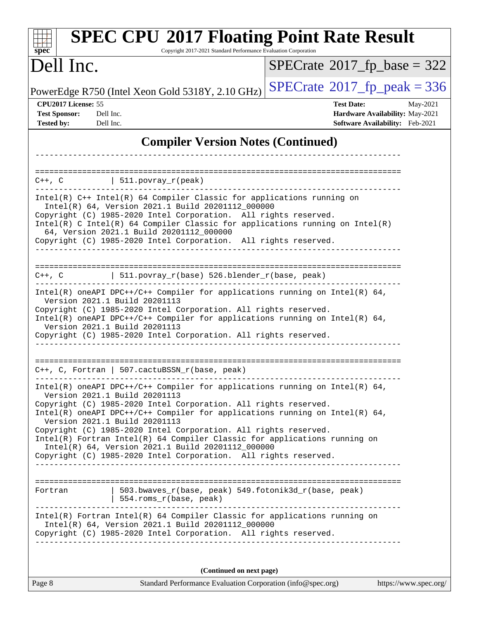| <b>SPEC CPU®2017 Floating Point Rate Result</b><br>Copyright 2017-2021 Standard Performance Evaluation Corporation<br>spec <sup>®</sup>                                                                                                                                                                                                                                                                                                                                                                    |                                                                                                     |  |  |  |  |
|------------------------------------------------------------------------------------------------------------------------------------------------------------------------------------------------------------------------------------------------------------------------------------------------------------------------------------------------------------------------------------------------------------------------------------------------------------------------------------------------------------|-----------------------------------------------------------------------------------------------------|--|--|--|--|
| Dell Inc.                                                                                                                                                                                                                                                                                                                                                                                                                                                                                                  | $SPECrate$ <sup>®</sup> 2017_fp_base = 322                                                          |  |  |  |  |
| PowerEdge R750 (Intel Xeon Gold 5318Y, 2.10 GHz)                                                                                                                                                                                                                                                                                                                                                                                                                                                           | $SPECTate@2017fr peak = 336$                                                                        |  |  |  |  |
| CPU2017 License: 55<br><b>Test Sponsor:</b><br>Dell Inc.<br><b>Tested by:</b><br>Dell Inc.                                                                                                                                                                                                                                                                                                                                                                                                                 | <b>Test Date:</b><br>May-2021<br>Hardware Availability: May-2021<br>Software Availability: Feb-2021 |  |  |  |  |
| <b>Compiler Version Notes (Continued)</b>                                                                                                                                                                                                                                                                                                                                                                                                                                                                  |                                                                                                     |  |  |  |  |
| ==========================<br>$C++$ , $C$<br>  $511.povray_r(peak)$<br>Intel(R) C++ Intel(R) 64 Compiler Classic for applications running on                                                                                                                                                                                                                                                                                                                                                               |                                                                                                     |  |  |  |  |
| Intel(R) 64, Version 2021.1 Build 20201112_000000<br>Copyright (C) 1985-2020 Intel Corporation. All rights reserved.<br>Intel(R) C Intel(R) 64 Compiler Classic for applications running on Intel(R)<br>64, Version 2021.1 Build 20201112_000000<br>Copyright (C) 1985-2020 Intel Corporation. All rights reserved.                                                                                                                                                                                        |                                                                                                     |  |  |  |  |
| $C++$ , $C$<br>  $511.povray_r(base) 526.blender_r(base, peak)$                                                                                                                                                                                                                                                                                                                                                                                                                                            |                                                                                                     |  |  |  |  |
| Intel(R) oneAPI DPC++/C++ Compiler for applications running on Intel(R) $64$ ,<br>Version 2021.1 Build 20201113<br>Copyright (C) 1985-2020 Intel Corporation. All rights reserved.<br>Intel(R) oneAPI DPC++/C++ Compiler for applications running on Intel(R) 64,<br>Version 2021.1 Build 20201113<br>Copyright (C) 1985-2020 Intel Corporation. All rights reserved.                                                                                                                                      |                                                                                                     |  |  |  |  |
| $C++$ , C, Fortran   507. cactuBSSN_r(base, peak)                                                                                                                                                                                                                                                                                                                                                                                                                                                          |                                                                                                     |  |  |  |  |
| Intel(R) oneAPI DPC++/C++ Compiler for applications running on Intel(R) $64$ ,<br>Version 2021.1 Build 20201113<br>Copyright (C) 1985-2020 Intel Corporation. All rights reserved.<br>Intel(R) oneAPI DPC++/C++ Compiler for applications running on Intel(R) $64$ ,<br>Version 2021.1 Build 20201113<br>Copyright (C) 1985-2020 Intel Corporation. All rights reserved.<br>Intel(R) Fortran Intel(R) 64 Compiler Classic for applications running on<br>Intel(R) 64, Version 2021.1 Build 20201112_000000 |                                                                                                     |  |  |  |  |
| Copyright (C) 1985-2020 Intel Corporation. All rights reserved.                                                                                                                                                                                                                                                                                                                                                                                                                                            |                                                                                                     |  |  |  |  |
| 503.bwaves_r(base, peak) 549.fotonik3d_r(base, peak)<br>Fortran<br>554.roms_r(base, peak)                                                                                                                                                                                                                                                                                                                                                                                                                  |                                                                                                     |  |  |  |  |
| Intel(R) Fortran Intel(R) 64 Compiler Classic for applications running on<br>Intel(R) 64, Version 2021.1 Build 20201112_000000<br>Copyright (C) 1985-2020 Intel Corporation. All rights reserved.                                                                                                                                                                                                                                                                                                          |                                                                                                     |  |  |  |  |
| (Continued on next page)                                                                                                                                                                                                                                                                                                                                                                                                                                                                                   |                                                                                                     |  |  |  |  |
| Standard Performance Evaluation Corporation (info@spec.org)<br>Page 8                                                                                                                                                                                                                                                                                                                                                                                                                                      | https://www.spec.org/                                                                               |  |  |  |  |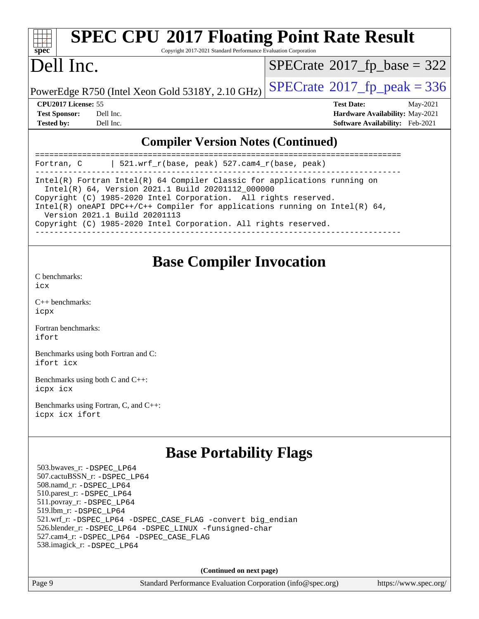| spec |  |  |  |  |  |  |
|------|--|--|--|--|--|--|

# **[SPEC CPU](http://www.spec.org/auto/cpu2017/Docs/result-fields.html#SPECCPU2017FloatingPointRateResult)[2017 Floating Point Rate Result](http://www.spec.org/auto/cpu2017/Docs/result-fields.html#SPECCPU2017FloatingPointRateResult)**

Copyright 2017-2021 Standard Performance Evaluation Corporation

### Dell Inc.

 $SPECTate$ <sup>®</sup>[2017\\_fp\\_base =](http://www.spec.org/auto/cpu2017/Docs/result-fields.html#SPECrate2017fpbase) 322

PowerEdge R750 (Intel Xeon Gold 5318Y, 2.10 GHz)  $\left|$  [SPECrate](http://www.spec.org/auto/cpu2017/Docs/result-fields.html#SPECrate2017fppeak)®[2017\\_fp\\_peak = 3](http://www.spec.org/auto/cpu2017/Docs/result-fields.html#SPECrate2017fppeak)36

**[Tested by:](http://www.spec.org/auto/cpu2017/Docs/result-fields.html#Testedby)** Dell Inc. **[Software Availability:](http://www.spec.org/auto/cpu2017/Docs/result-fields.html#SoftwareAvailability)** Feb-2021

**[CPU2017 License:](http://www.spec.org/auto/cpu2017/Docs/result-fields.html#CPU2017License)** 55 **[Test Date:](http://www.spec.org/auto/cpu2017/Docs/result-fields.html#TestDate)** May-2021 **[Test Sponsor:](http://www.spec.org/auto/cpu2017/Docs/result-fields.html#TestSponsor)** Dell Inc. **[Hardware Availability:](http://www.spec.org/auto/cpu2017/Docs/result-fields.html#HardwareAvailability)** May-2021

### **[Compiler Version Notes \(Continued\)](http://www.spec.org/auto/cpu2017/Docs/result-fields.html#CompilerVersionNotes)**

| 521.wrf_r(base, peak) 527.cam4_r(base, peak)<br>Fortran, C                                                                       |  |  |  |  |
|----------------------------------------------------------------------------------------------------------------------------------|--|--|--|--|
| Intel(R) Fortran Intel(R) $64$ Compiler Classic for applications running on<br>Intel(R) 64, Version 2021.1 Build 20201112 000000 |  |  |  |  |
| Copyright (C) 1985-2020 Intel Corporation. All rights reserved.                                                                  |  |  |  |  |
| Intel(R) oneAPI DPC++/C++ Compiler for applications running on Intel(R) $64$ ,<br>Version 2021.1 Build 20201113                  |  |  |  |  |
| Copyright (C) 1985-2020 Intel Corporation. All rights reserved.                                                                  |  |  |  |  |
|                                                                                                                                  |  |  |  |  |

### **[Base Compiler Invocation](http://www.spec.org/auto/cpu2017/Docs/result-fields.html#BaseCompilerInvocation)**

[C benchmarks](http://www.spec.org/auto/cpu2017/Docs/result-fields.html#Cbenchmarks):

[icx](http://www.spec.org/cpu2017/results/res2021q3/cpu2017-20210618-27233.flags.html#user_CCbase_intel_icx_fe2d28d19ae2a5db7c42fe0f2a2aed77cb715edd4aeb23434404a8be6683fe239869bb6ca8154ca98265c2e3b9226a719a0efe2953a4a7018c379b7010ccf087)

[C++ benchmarks:](http://www.spec.org/auto/cpu2017/Docs/result-fields.html#CXXbenchmarks) [icpx](http://www.spec.org/cpu2017/results/res2021q3/cpu2017-20210618-27233.flags.html#user_CXXbase_intel_icpx_1e918ed14c436bf4b9b7c8bcdd51d4539fc71b3df010bd1e9f8732d9c34c2b2914e48204a846820f3c0ebb4095dea797a5c30b458ac0b6dffac65d78f781f5ca)

[Fortran benchmarks](http://www.spec.org/auto/cpu2017/Docs/result-fields.html#Fortranbenchmarks): [ifort](http://www.spec.org/cpu2017/results/res2021q3/cpu2017-20210618-27233.flags.html#user_FCbase_intel_ifort_8111460550e3ca792625aed983ce982f94888b8b503583aa7ba2b8303487b4d8a21a13e7191a45c5fd58ff318f48f9492884d4413fa793fd88dd292cad7027ca)

[Benchmarks using both Fortran and C](http://www.spec.org/auto/cpu2017/Docs/result-fields.html#BenchmarksusingbothFortranandC): [ifort](http://www.spec.org/cpu2017/results/res2021q3/cpu2017-20210618-27233.flags.html#user_CC_FCbase_intel_ifort_8111460550e3ca792625aed983ce982f94888b8b503583aa7ba2b8303487b4d8a21a13e7191a45c5fd58ff318f48f9492884d4413fa793fd88dd292cad7027ca) [icx](http://www.spec.org/cpu2017/results/res2021q3/cpu2017-20210618-27233.flags.html#user_CC_FCbase_intel_icx_fe2d28d19ae2a5db7c42fe0f2a2aed77cb715edd4aeb23434404a8be6683fe239869bb6ca8154ca98265c2e3b9226a719a0efe2953a4a7018c379b7010ccf087)

[Benchmarks using both C and C++](http://www.spec.org/auto/cpu2017/Docs/result-fields.html#BenchmarksusingbothCandCXX): [icpx](http://www.spec.org/cpu2017/results/res2021q3/cpu2017-20210618-27233.flags.html#user_CC_CXXbase_intel_icpx_1e918ed14c436bf4b9b7c8bcdd51d4539fc71b3df010bd1e9f8732d9c34c2b2914e48204a846820f3c0ebb4095dea797a5c30b458ac0b6dffac65d78f781f5ca) [icx](http://www.spec.org/cpu2017/results/res2021q3/cpu2017-20210618-27233.flags.html#user_CC_CXXbase_intel_icx_fe2d28d19ae2a5db7c42fe0f2a2aed77cb715edd4aeb23434404a8be6683fe239869bb6ca8154ca98265c2e3b9226a719a0efe2953a4a7018c379b7010ccf087)

[Benchmarks using Fortran, C, and C++:](http://www.spec.org/auto/cpu2017/Docs/result-fields.html#BenchmarksusingFortranCandCXX) [icpx](http://www.spec.org/cpu2017/results/res2021q3/cpu2017-20210618-27233.flags.html#user_CC_CXX_FCbase_intel_icpx_1e918ed14c436bf4b9b7c8bcdd51d4539fc71b3df010bd1e9f8732d9c34c2b2914e48204a846820f3c0ebb4095dea797a5c30b458ac0b6dffac65d78f781f5ca) [icx](http://www.spec.org/cpu2017/results/res2021q3/cpu2017-20210618-27233.flags.html#user_CC_CXX_FCbase_intel_icx_fe2d28d19ae2a5db7c42fe0f2a2aed77cb715edd4aeb23434404a8be6683fe239869bb6ca8154ca98265c2e3b9226a719a0efe2953a4a7018c379b7010ccf087) [ifort](http://www.spec.org/cpu2017/results/res2021q3/cpu2017-20210618-27233.flags.html#user_CC_CXX_FCbase_intel_ifort_8111460550e3ca792625aed983ce982f94888b8b503583aa7ba2b8303487b4d8a21a13e7191a45c5fd58ff318f48f9492884d4413fa793fd88dd292cad7027ca)

### **[Base Portability Flags](http://www.spec.org/auto/cpu2017/Docs/result-fields.html#BasePortabilityFlags)**

 503.bwaves\_r: [-DSPEC\\_LP64](http://www.spec.org/cpu2017/results/res2021q3/cpu2017-20210618-27233.flags.html#suite_basePORTABILITY503_bwaves_r_DSPEC_LP64) 507.cactuBSSN\_r: [-DSPEC\\_LP64](http://www.spec.org/cpu2017/results/res2021q3/cpu2017-20210618-27233.flags.html#suite_basePORTABILITY507_cactuBSSN_r_DSPEC_LP64) 508.namd\_r: [-DSPEC\\_LP64](http://www.spec.org/cpu2017/results/res2021q3/cpu2017-20210618-27233.flags.html#suite_basePORTABILITY508_namd_r_DSPEC_LP64) 510.parest\_r: [-DSPEC\\_LP64](http://www.spec.org/cpu2017/results/res2021q3/cpu2017-20210618-27233.flags.html#suite_basePORTABILITY510_parest_r_DSPEC_LP64) 511.povray\_r: [-DSPEC\\_LP64](http://www.spec.org/cpu2017/results/res2021q3/cpu2017-20210618-27233.flags.html#suite_basePORTABILITY511_povray_r_DSPEC_LP64) 519.lbm\_r: [-DSPEC\\_LP64](http://www.spec.org/cpu2017/results/res2021q3/cpu2017-20210618-27233.flags.html#suite_basePORTABILITY519_lbm_r_DSPEC_LP64) 521.wrf\_r: [-DSPEC\\_LP64](http://www.spec.org/cpu2017/results/res2021q3/cpu2017-20210618-27233.flags.html#suite_basePORTABILITY521_wrf_r_DSPEC_LP64) [-DSPEC\\_CASE\\_FLAG](http://www.spec.org/cpu2017/results/res2021q3/cpu2017-20210618-27233.flags.html#b521.wrf_r_baseCPORTABILITY_DSPEC_CASE_FLAG) [-convert big\\_endian](http://www.spec.org/cpu2017/results/res2021q3/cpu2017-20210618-27233.flags.html#user_baseFPORTABILITY521_wrf_r_convert_big_endian_c3194028bc08c63ac5d04de18c48ce6d347e4e562e8892b8bdbdc0214820426deb8554edfa529a3fb25a586e65a3d812c835984020483e7e73212c4d31a38223) 526.blender\_r: [-DSPEC\\_LP64](http://www.spec.org/cpu2017/results/res2021q3/cpu2017-20210618-27233.flags.html#suite_basePORTABILITY526_blender_r_DSPEC_LP64) [-DSPEC\\_LINUX](http://www.spec.org/cpu2017/results/res2021q3/cpu2017-20210618-27233.flags.html#b526.blender_r_baseCPORTABILITY_DSPEC_LINUX) [-funsigned-char](http://www.spec.org/cpu2017/results/res2021q3/cpu2017-20210618-27233.flags.html#user_baseCPORTABILITY526_blender_r_force_uchar_40c60f00ab013830e2dd6774aeded3ff59883ba5a1fc5fc14077f794d777847726e2a5858cbc7672e36e1b067e7e5c1d9a74f7176df07886a243d7cc18edfe67) 527.cam4\_r: [-DSPEC\\_LP64](http://www.spec.org/cpu2017/results/res2021q3/cpu2017-20210618-27233.flags.html#suite_basePORTABILITY527_cam4_r_DSPEC_LP64) [-DSPEC\\_CASE\\_FLAG](http://www.spec.org/cpu2017/results/res2021q3/cpu2017-20210618-27233.flags.html#b527.cam4_r_baseCPORTABILITY_DSPEC_CASE_FLAG) 538.imagick\_r: [-DSPEC\\_LP64](http://www.spec.org/cpu2017/results/res2021q3/cpu2017-20210618-27233.flags.html#suite_basePORTABILITY538_imagick_r_DSPEC_LP64)

**(Continued on next page)**

Page 9 Standard Performance Evaluation Corporation [\(info@spec.org\)](mailto:info@spec.org) <https://www.spec.org/>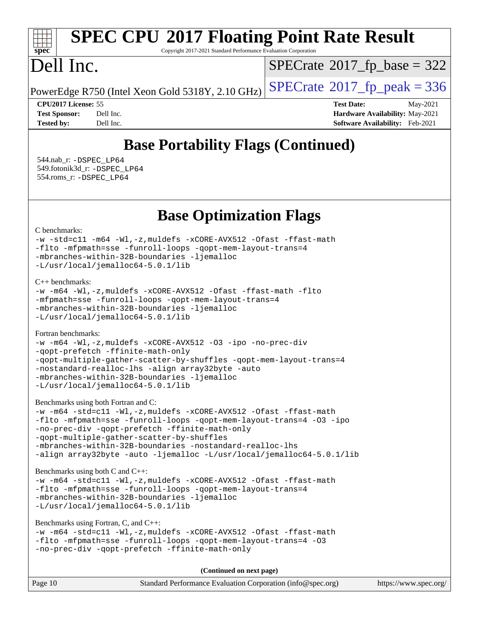# **[spec](http://www.spec.org/)**

# **[SPEC CPU](http://www.spec.org/auto/cpu2017/Docs/result-fields.html#SPECCPU2017FloatingPointRateResult)[2017 Floating Point Rate Result](http://www.spec.org/auto/cpu2017/Docs/result-fields.html#SPECCPU2017FloatingPointRateResult)**

Copyright 2017-2021 Standard Performance Evaluation Corporation

### Dell Inc.

 $SPECTate$ <sup>®</sup>[2017\\_fp\\_base =](http://www.spec.org/auto/cpu2017/Docs/result-fields.html#SPECrate2017fpbase) 322

PowerEdge R750 (Intel Xeon Gold 5318Y, 2.10 GHz)  $\left|$  [SPECrate](http://www.spec.org/auto/cpu2017/Docs/result-fields.html#SPECrate2017fppeak)<sup>®</sup>[2017\\_fp\\_peak = 3](http://www.spec.org/auto/cpu2017/Docs/result-fields.html#SPECrate2017fppeak)36

**[CPU2017 License:](http://www.spec.org/auto/cpu2017/Docs/result-fields.html#CPU2017License)** 55 **[Test Date:](http://www.spec.org/auto/cpu2017/Docs/result-fields.html#TestDate)** May-2021 **[Test Sponsor:](http://www.spec.org/auto/cpu2017/Docs/result-fields.html#TestSponsor)** Dell Inc. **[Hardware Availability:](http://www.spec.org/auto/cpu2017/Docs/result-fields.html#HardwareAvailability)** May-2021 **[Tested by:](http://www.spec.org/auto/cpu2017/Docs/result-fields.html#Testedby)** Dell Inc. **[Software Availability:](http://www.spec.org/auto/cpu2017/Docs/result-fields.html#SoftwareAvailability)** Feb-2021

### **[Base Portability Flags \(Continued\)](http://www.spec.org/auto/cpu2017/Docs/result-fields.html#BasePortabilityFlags)**

 544.nab\_r: [-DSPEC\\_LP64](http://www.spec.org/cpu2017/results/res2021q3/cpu2017-20210618-27233.flags.html#suite_basePORTABILITY544_nab_r_DSPEC_LP64) 549.fotonik3d\_r: [-DSPEC\\_LP64](http://www.spec.org/cpu2017/results/res2021q3/cpu2017-20210618-27233.flags.html#suite_basePORTABILITY549_fotonik3d_r_DSPEC_LP64) 554.roms\_r: [-DSPEC\\_LP64](http://www.spec.org/cpu2017/results/res2021q3/cpu2017-20210618-27233.flags.html#suite_basePORTABILITY554_roms_r_DSPEC_LP64)

**[Base Optimization Flags](http://www.spec.org/auto/cpu2017/Docs/result-fields.html#BaseOptimizationFlags)**

### [C benchmarks](http://www.spec.org/auto/cpu2017/Docs/result-fields.html#Cbenchmarks):

```
-w -std=c11 -m64 -Wl,-z,muldefs -xCORE-AVX512 -Ofast -ffast-math
-flto -mfpmath=sse -funroll-loops -qopt-mem-layout-trans=4
-mbranches-within-32B-boundaries -ljemalloc
-L/usr/local/jemalloc64-5.0.1/lib
```
### [C++ benchmarks:](http://www.spec.org/auto/cpu2017/Docs/result-fields.html#CXXbenchmarks)

```
-w -m64 -Wl,-z,muldefs -xCORE-AVX512 -Ofast -ffast-math -flto
-mfpmath=sse -funroll-loops -qopt-mem-layout-trans=4
-mbranches-within-32B-boundaries -ljemalloc
-L/usr/local/jemalloc64-5.0.1/lib
```
### [Fortran benchmarks](http://www.spec.org/auto/cpu2017/Docs/result-fields.html#Fortranbenchmarks):

```
-w -m64 -Wl,-z,muldefs -xCORE-AVX512 -O3 -ipo -no-prec-div
-qopt-prefetch -ffinite-math-only
-qopt-multiple-gather-scatter-by-shuffles -qopt-mem-layout-trans=4
-nostandard-realloc-lhs -align array32byte -auto
-mbranches-within-32B-boundaries -ljemalloc
-L/usr/local/jemalloc64-5.0.1/lib
```
### [Benchmarks using both Fortran and C](http://www.spec.org/auto/cpu2017/Docs/result-fields.html#BenchmarksusingbothFortranandC):

```
-w -m64 -std=c11 -Wl,-z,muldefs -xCORE-AVX512 -Ofast -ffast-math
-flto -mfpmath=sse -funroll-loops -qopt-mem-layout-trans=4 -O3 -ipo
-no-prec-div -qopt-prefetch -ffinite-math-only
-qopt-multiple-gather-scatter-by-shuffles
-mbranches-within-32B-boundaries -nostandard-realloc-lhs
-align array32byte -auto -ljemalloc -L/usr/local/jemalloc64-5.0.1/lib
```
### [Benchmarks using both C and C++](http://www.spec.org/auto/cpu2017/Docs/result-fields.html#BenchmarksusingbothCandCXX):

```
-w -m64 -std=c11 -Wl,-z,muldefs -xCORE-AVX512 -Ofast -ffast-math
-flto -mfpmath=sse -funroll-loops -qopt-mem-layout-trans=4
-mbranches-within-32B-boundaries -ljemalloc
-L/usr/local/jemalloc64-5.0.1/lib
```
### [Benchmarks using Fortran, C, and C++:](http://www.spec.org/auto/cpu2017/Docs/result-fields.html#BenchmarksusingFortranCandCXX)

```
-w -m64 -std=c11 -Wl,-z,muldefs -xCORE-AVX512 -Ofast -ffast-math
-flto -mfpmath=sse -funroll-loops -qopt-mem-layout-trans=4 -O3
-no-prec-div -qopt-prefetch -ffinite-math-only
```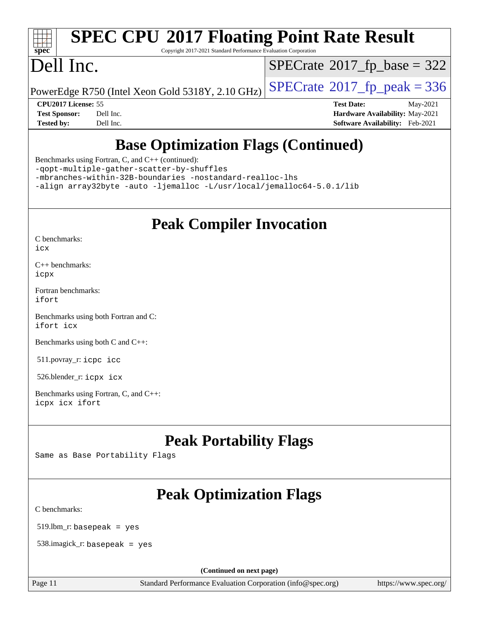

# **[SPEC CPU](http://www.spec.org/auto/cpu2017/Docs/result-fields.html#SPECCPU2017FloatingPointRateResult)[2017 Floating Point Rate Result](http://www.spec.org/auto/cpu2017/Docs/result-fields.html#SPECCPU2017FloatingPointRateResult)**

Copyright 2017-2021 Standard Performance Evaluation Corporation

## Dell Inc.

 $SPECTate$ <sup>®</sup>[2017\\_fp\\_base =](http://www.spec.org/auto/cpu2017/Docs/result-fields.html#SPECrate2017fpbase) 322

PowerEdge R750 (Intel Xeon Gold 5318Y, 2.10 GHz)  $\left|$  [SPECrate](http://www.spec.org/auto/cpu2017/Docs/result-fields.html#SPECrate2017fppeak)®[2017\\_fp\\_peak = 3](http://www.spec.org/auto/cpu2017/Docs/result-fields.html#SPECrate2017fppeak)36

**[CPU2017 License:](http://www.spec.org/auto/cpu2017/Docs/result-fields.html#CPU2017License)** 55 **[Test Date:](http://www.spec.org/auto/cpu2017/Docs/result-fields.html#TestDate)** May-2021 **[Test Sponsor:](http://www.spec.org/auto/cpu2017/Docs/result-fields.html#TestSponsor)** Dell Inc. **[Hardware Availability:](http://www.spec.org/auto/cpu2017/Docs/result-fields.html#HardwareAvailability)** May-2021 **[Tested by:](http://www.spec.org/auto/cpu2017/Docs/result-fields.html#Testedby)** Dell Inc. **[Software Availability:](http://www.spec.org/auto/cpu2017/Docs/result-fields.html#SoftwareAvailability)** Feb-2021

### **[Base Optimization Flags \(Continued\)](http://www.spec.org/auto/cpu2017/Docs/result-fields.html#BaseOptimizationFlags)**

[Benchmarks using Fortran, C, and C++](http://www.spec.org/auto/cpu2017/Docs/result-fields.html#BenchmarksusingFortranCandCXX) (continued):

[-qopt-multiple-gather-scatter-by-shuffles](http://www.spec.org/cpu2017/results/res2021q3/cpu2017-20210618-27233.flags.html#user_CC_CXX_FCbase_f-qopt-multiple-gather-scatter-by-shuffles)

[-mbranches-within-32B-boundaries](http://www.spec.org/cpu2017/results/res2021q3/cpu2017-20210618-27233.flags.html#user_CC_CXX_FCbase_f-mbranches-within-32B-boundaries) [-nostandard-realloc-lhs](http://www.spec.org/cpu2017/results/res2021q3/cpu2017-20210618-27233.flags.html#user_CC_CXX_FCbase_f_2003_std_realloc_82b4557e90729c0f113870c07e44d33d6f5a304b4f63d4c15d2d0f1fab99f5daaed73bdb9275d9ae411527f28b936061aa8b9c8f2d63842963b95c9dd6426b8a)

[-align array32byte](http://www.spec.org/cpu2017/results/res2021q3/cpu2017-20210618-27233.flags.html#user_CC_CXX_FCbase_align_array32byte_b982fe038af199962ba9a80c053b8342c548c85b40b8e86eb3cc33dee0d7986a4af373ac2d51c3f7cf710a18d62fdce2948f201cd044323541f22fc0fffc51b6) [-auto](http://www.spec.org/cpu2017/results/res2021q3/cpu2017-20210618-27233.flags.html#user_CC_CXX_FCbase_f-auto) [-ljemalloc](http://www.spec.org/cpu2017/results/res2021q3/cpu2017-20210618-27233.flags.html#user_CC_CXX_FCbase_jemalloc_link_lib_d1249b907c500fa1c0672f44f562e3d0f79738ae9e3c4a9c376d49f265a04b9c99b167ecedbf6711b3085be911c67ff61f150a17b3472be731631ba4d0471706) [-L/usr/local/jemalloc64-5.0.1/lib](http://www.spec.org/cpu2017/results/res2021q3/cpu2017-20210618-27233.flags.html#user_CC_CXX_FCbase_jemalloc_link_path64_1_cc289568b1a6c0fd3b62c91b824c27fcb5af5e8098e6ad028160d21144ef1b8aef3170d2acf0bee98a8da324cfe4f67d0a3d0c4cc4673d993d694dc2a0df248b)

### **[Peak Compiler Invocation](http://www.spec.org/auto/cpu2017/Docs/result-fields.html#PeakCompilerInvocation)**

[C benchmarks](http://www.spec.org/auto/cpu2017/Docs/result-fields.html#Cbenchmarks):

[icx](http://www.spec.org/cpu2017/results/res2021q3/cpu2017-20210618-27233.flags.html#user_CCpeak_intel_icx_fe2d28d19ae2a5db7c42fe0f2a2aed77cb715edd4aeb23434404a8be6683fe239869bb6ca8154ca98265c2e3b9226a719a0efe2953a4a7018c379b7010ccf087)

[C++ benchmarks:](http://www.spec.org/auto/cpu2017/Docs/result-fields.html#CXXbenchmarks) [icpx](http://www.spec.org/cpu2017/results/res2021q3/cpu2017-20210618-27233.flags.html#user_CXXpeak_intel_icpx_1e918ed14c436bf4b9b7c8bcdd51d4539fc71b3df010bd1e9f8732d9c34c2b2914e48204a846820f3c0ebb4095dea797a5c30b458ac0b6dffac65d78f781f5ca)

[Fortran benchmarks](http://www.spec.org/auto/cpu2017/Docs/result-fields.html#Fortranbenchmarks): [ifort](http://www.spec.org/cpu2017/results/res2021q3/cpu2017-20210618-27233.flags.html#user_FCpeak_intel_ifort_8111460550e3ca792625aed983ce982f94888b8b503583aa7ba2b8303487b4d8a21a13e7191a45c5fd58ff318f48f9492884d4413fa793fd88dd292cad7027ca)

[Benchmarks using both Fortran and C](http://www.spec.org/auto/cpu2017/Docs/result-fields.html#BenchmarksusingbothFortranandC): [ifort](http://www.spec.org/cpu2017/results/res2021q3/cpu2017-20210618-27233.flags.html#user_CC_FCpeak_intel_ifort_8111460550e3ca792625aed983ce982f94888b8b503583aa7ba2b8303487b4d8a21a13e7191a45c5fd58ff318f48f9492884d4413fa793fd88dd292cad7027ca) [icx](http://www.spec.org/cpu2017/results/res2021q3/cpu2017-20210618-27233.flags.html#user_CC_FCpeak_intel_icx_fe2d28d19ae2a5db7c42fe0f2a2aed77cb715edd4aeb23434404a8be6683fe239869bb6ca8154ca98265c2e3b9226a719a0efe2953a4a7018c379b7010ccf087)

[Benchmarks using both C and C++](http://www.spec.org/auto/cpu2017/Docs/result-fields.html#BenchmarksusingbothCandCXX):

511.povray\_r: [icpc](http://www.spec.org/cpu2017/results/res2021q3/cpu2017-20210618-27233.flags.html#user_peakCXXLD511_povray_r_intel_icpc_c510b6838c7f56d33e37e94d029a35b4a7bccf4766a728ee175e80a419847e808290a9b78be685c44ab727ea267ec2f070ec5dc83b407c0218cded6866a35d07) [icc](http://www.spec.org/cpu2017/results/res2021q3/cpu2017-20210618-27233.flags.html#user_peakCC511_povray_r_intel_icc_66fc1ee009f7361af1fbd72ca7dcefbb700085f36577c54f309893dd4ec40d12360134090235512931783d35fd58c0460139e722d5067c5574d8eaf2b3e37e92)

526.blender\_r: [icpx](http://www.spec.org/cpu2017/results/res2021q3/cpu2017-20210618-27233.flags.html#user_peakCXXLD526_blender_r_intel_icpx_1e918ed14c436bf4b9b7c8bcdd51d4539fc71b3df010bd1e9f8732d9c34c2b2914e48204a846820f3c0ebb4095dea797a5c30b458ac0b6dffac65d78f781f5ca) [icx](http://www.spec.org/cpu2017/results/res2021q3/cpu2017-20210618-27233.flags.html#user_peakCC526_blender_r_intel_icx_fe2d28d19ae2a5db7c42fe0f2a2aed77cb715edd4aeb23434404a8be6683fe239869bb6ca8154ca98265c2e3b9226a719a0efe2953a4a7018c379b7010ccf087)

[Benchmarks using Fortran, C, and C++:](http://www.spec.org/auto/cpu2017/Docs/result-fields.html#BenchmarksusingFortranCandCXX) [icpx](http://www.spec.org/cpu2017/results/res2021q3/cpu2017-20210618-27233.flags.html#user_CC_CXX_FCpeak_intel_icpx_1e918ed14c436bf4b9b7c8bcdd51d4539fc71b3df010bd1e9f8732d9c34c2b2914e48204a846820f3c0ebb4095dea797a5c30b458ac0b6dffac65d78f781f5ca) [icx](http://www.spec.org/cpu2017/results/res2021q3/cpu2017-20210618-27233.flags.html#user_CC_CXX_FCpeak_intel_icx_fe2d28d19ae2a5db7c42fe0f2a2aed77cb715edd4aeb23434404a8be6683fe239869bb6ca8154ca98265c2e3b9226a719a0efe2953a4a7018c379b7010ccf087) [ifort](http://www.spec.org/cpu2017/results/res2021q3/cpu2017-20210618-27233.flags.html#user_CC_CXX_FCpeak_intel_ifort_8111460550e3ca792625aed983ce982f94888b8b503583aa7ba2b8303487b4d8a21a13e7191a45c5fd58ff318f48f9492884d4413fa793fd88dd292cad7027ca)

### **[Peak Portability Flags](http://www.spec.org/auto/cpu2017/Docs/result-fields.html#PeakPortabilityFlags)**

Same as Base Portability Flags

### **[Peak Optimization Flags](http://www.spec.org/auto/cpu2017/Docs/result-fields.html#PeakOptimizationFlags)**

[C benchmarks](http://www.spec.org/auto/cpu2017/Docs/result-fields.html#Cbenchmarks):

519.lbm\_r: basepeak = yes

538.imagick\_r: basepeak = yes

**(Continued on next page)**

Page 11 Standard Performance Evaluation Corporation [\(info@spec.org\)](mailto:info@spec.org) <https://www.spec.org/>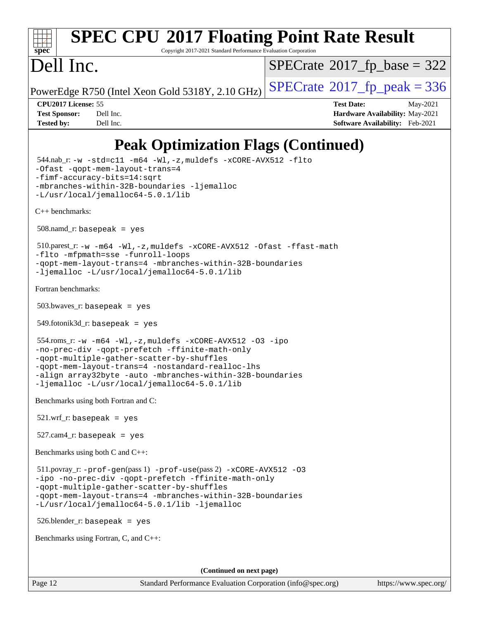

# **[SPEC CPU](http://www.spec.org/auto/cpu2017/Docs/result-fields.html#SPECCPU2017FloatingPointRateResult)[2017 Floating Point Rate Result](http://www.spec.org/auto/cpu2017/Docs/result-fields.html#SPECCPU2017FloatingPointRateResult)**

Copyright 2017-2021 Standard Performance Evaluation Corporation

## Dell Inc.

 $SPECTate$ <sup>®</sup>[2017\\_fp\\_base =](http://www.spec.org/auto/cpu2017/Docs/result-fields.html#SPECrate2017fpbase) 322

PowerEdge R750 (Intel Xeon Gold 5318Y, 2.10 GHz)  $\left|$  [SPECrate](http://www.spec.org/auto/cpu2017/Docs/result-fields.html#SPECrate2017fppeak)<sup>®</sup>[2017\\_fp\\_peak = 3](http://www.spec.org/auto/cpu2017/Docs/result-fields.html#SPECrate2017fppeak)36

**[CPU2017 License:](http://www.spec.org/auto/cpu2017/Docs/result-fields.html#CPU2017License)** 55 **[Test Date:](http://www.spec.org/auto/cpu2017/Docs/result-fields.html#TestDate)** May-2021 **[Test Sponsor:](http://www.spec.org/auto/cpu2017/Docs/result-fields.html#TestSponsor)** Dell Inc. **[Hardware Availability:](http://www.spec.org/auto/cpu2017/Docs/result-fields.html#HardwareAvailability)** May-2021 **[Tested by:](http://www.spec.org/auto/cpu2017/Docs/result-fields.html#Testedby)** Dell Inc. **[Software Availability:](http://www.spec.org/auto/cpu2017/Docs/result-fields.html#SoftwareAvailability)** Feb-2021

### **[Peak Optimization Flags \(Continued\)](http://www.spec.org/auto/cpu2017/Docs/result-fields.html#PeakOptimizationFlags)**

 544.nab\_r: [-w](http://www.spec.org/cpu2017/results/res2021q3/cpu2017-20210618-27233.flags.html#user_peakCCLD544_nab_r_supress_warning_66fb2c4e5c1dd10f38bdd29623979399e5ae75ae6e5453792d82ef66afed381df4a8602f92cac8d2ea0fffa7b93b4b1ccb9ecad4af01c9b2fe338b2082ae3859) [-std=c11](http://www.spec.org/cpu2017/results/res2021q3/cpu2017-20210618-27233.flags.html#user_peakCCLD544_nab_r_std-icc-std_0e1c27790398a4642dfca32ffe6c27b5796f9c2d2676156f2e42c9c44eaad0c049b1cdb667a270c34d979996257aeb8fc440bfb01818dbc9357bd9d174cb8524) [-m64](http://www.spec.org/cpu2017/results/res2021q3/cpu2017-20210618-27233.flags.html#user_peakCCLD544_nab_r_m64-icc) [-Wl,-z,muldefs](http://www.spec.org/cpu2017/results/res2021q3/cpu2017-20210618-27233.flags.html#user_peakEXTRA_LDFLAGS544_nab_r_link_force_multiple1_b4cbdb97b34bdee9ceefcfe54f4c8ea74255f0b02a4b23e853cdb0e18eb4525ac79b5a88067c842dd0ee6996c24547a27a4b99331201badda8798ef8a743f577) [-xCORE-AVX512](http://www.spec.org/cpu2017/results/res2021q3/cpu2017-20210618-27233.flags.html#user_peakCOPTIMIZE544_nab_r_f-xCORE-AVX512) [-flto](http://www.spec.org/cpu2017/results/res2021q3/cpu2017-20210618-27233.flags.html#user_peakCOPTIMIZE544_nab_r_f-flto) [-Ofast](http://www.spec.org/cpu2017/results/res2021q3/cpu2017-20210618-27233.flags.html#user_peakCOPTIMIZE544_nab_r_f-Ofast) [-qopt-mem-layout-trans=4](http://www.spec.org/cpu2017/results/res2021q3/cpu2017-20210618-27233.flags.html#user_peakCOPTIMIZE544_nab_r_f-qopt-mem-layout-trans_fa39e755916c150a61361b7846f310bcdf6f04e385ef281cadf3647acec3f0ae266d1a1d22d972a7087a248fd4e6ca390a3634700869573d231a252c784941a8) [-fimf-accuracy-bits=14:sqrt](http://www.spec.org/cpu2017/results/res2021q3/cpu2017-20210618-27233.flags.html#user_peakEXTRA_OPTIMIZE544_nab_r_f-imf-accuracy-bits_dec3764af0c61f52590ca8f859bc2b38948cb3a9f4bd45f959a8dd6743142ff5c0d5c89fdfba8d7c6d41a5122d7dc4d32797a5effd20a981baa30839b7373d7d) [-mbranches-within-32B-boundaries](http://www.spec.org/cpu2017/results/res2021q3/cpu2017-20210618-27233.flags.html#user_peakEXTRA_COPTIMIZE544_nab_r_f-mbranches-within-32B-boundaries) [-ljemalloc](http://www.spec.org/cpu2017/results/res2021q3/cpu2017-20210618-27233.flags.html#user_peakEXTRA_LIBS544_nab_r_jemalloc_link_lib_d1249b907c500fa1c0672f44f562e3d0f79738ae9e3c4a9c376d49f265a04b9c99b167ecedbf6711b3085be911c67ff61f150a17b3472be731631ba4d0471706) [-L/usr/local/jemalloc64-5.0.1/lib](http://www.spec.org/cpu2017/results/res2021q3/cpu2017-20210618-27233.flags.html#user_peakEXTRA_LIBS544_nab_r_jemalloc_link_path64_1_cc289568b1a6c0fd3b62c91b824c27fcb5af5e8098e6ad028160d21144ef1b8aef3170d2acf0bee98a8da324cfe4f67d0a3d0c4cc4673d993d694dc2a0df248b) [C++ benchmarks:](http://www.spec.org/auto/cpu2017/Docs/result-fields.html#CXXbenchmarks)  $508$ .namd\_r: basepeak = yes 510.parest\_r: [-w](http://www.spec.org/cpu2017/results/res2021q3/cpu2017-20210618-27233.flags.html#user_peakCXXLD510_parest_r_supress_warning_66fb2c4e5c1dd10f38bdd29623979399e5ae75ae6e5453792d82ef66afed381df4a8602f92cac8d2ea0fffa7b93b4b1ccb9ecad4af01c9b2fe338b2082ae3859) [-m64](http://www.spec.org/cpu2017/results/res2021q3/cpu2017-20210618-27233.flags.html#user_peakCXXLD510_parest_r_m64-icc) [-Wl,-z,muldefs](http://www.spec.org/cpu2017/results/res2021q3/cpu2017-20210618-27233.flags.html#user_peakEXTRA_LDFLAGS510_parest_r_link_force_multiple1_b4cbdb97b34bdee9ceefcfe54f4c8ea74255f0b02a4b23e853cdb0e18eb4525ac79b5a88067c842dd0ee6996c24547a27a4b99331201badda8798ef8a743f577) [-xCORE-AVX512](http://www.spec.org/cpu2017/results/res2021q3/cpu2017-20210618-27233.flags.html#user_peakCXXOPTIMIZE510_parest_r_f-xCORE-AVX512) [-Ofast](http://www.spec.org/cpu2017/results/res2021q3/cpu2017-20210618-27233.flags.html#user_peakCXXOPTIMIZE510_parest_r_f-Ofast) [-ffast-math](http://www.spec.org/cpu2017/results/res2021q3/cpu2017-20210618-27233.flags.html#user_peakCXXOPTIMIZE510_parest_r_f-ffast-math) [-flto](http://www.spec.org/cpu2017/results/res2021q3/cpu2017-20210618-27233.flags.html#user_peakCXXOPTIMIZE510_parest_r_f-flto) [-mfpmath=sse](http://www.spec.org/cpu2017/results/res2021q3/cpu2017-20210618-27233.flags.html#user_peakCXXOPTIMIZE510_parest_r_f-mfpmath_70eb8fac26bde974f8ab713bc9086c5621c0b8d2f6c86f38af0bd7062540daf19db5f3a066d8c6684be05d84c9b6322eb3b5be6619d967835195b93d6c02afa1) [-funroll-loops](http://www.spec.org/cpu2017/results/res2021q3/cpu2017-20210618-27233.flags.html#user_peakCXXOPTIMIZE510_parest_r_f-funroll-loops) [-qopt-mem-layout-trans=4](http://www.spec.org/cpu2017/results/res2021q3/cpu2017-20210618-27233.flags.html#user_peakCXXOPTIMIZE510_parest_r_f-qopt-mem-layout-trans_fa39e755916c150a61361b7846f310bcdf6f04e385ef281cadf3647acec3f0ae266d1a1d22d972a7087a248fd4e6ca390a3634700869573d231a252c784941a8) [-mbranches-within-32B-boundaries](http://www.spec.org/cpu2017/results/res2021q3/cpu2017-20210618-27233.flags.html#user_peakEXTRA_CXXOPTIMIZE510_parest_r_f-mbranches-within-32B-boundaries) [-ljemalloc](http://www.spec.org/cpu2017/results/res2021q3/cpu2017-20210618-27233.flags.html#user_peakEXTRA_LIBS510_parest_r_jemalloc_link_lib_d1249b907c500fa1c0672f44f562e3d0f79738ae9e3c4a9c376d49f265a04b9c99b167ecedbf6711b3085be911c67ff61f150a17b3472be731631ba4d0471706) [-L/usr/local/jemalloc64-5.0.1/lib](http://www.spec.org/cpu2017/results/res2021q3/cpu2017-20210618-27233.flags.html#user_peakEXTRA_LIBS510_parest_r_jemalloc_link_path64_1_cc289568b1a6c0fd3b62c91b824c27fcb5af5e8098e6ad028160d21144ef1b8aef3170d2acf0bee98a8da324cfe4f67d0a3d0c4cc4673d993d694dc2a0df248b) [Fortran benchmarks](http://www.spec.org/auto/cpu2017/Docs/result-fields.html#Fortranbenchmarks):  $503.bwaves$  r: basepeak = yes 549.fotonik3d\_r: basepeak = yes 554.roms\_r: [-w](http://www.spec.org/cpu2017/results/res2021q3/cpu2017-20210618-27233.flags.html#user_peakFCLD554_roms_r_supress_warning_66fb2c4e5c1dd10f38bdd29623979399e5ae75ae6e5453792d82ef66afed381df4a8602f92cac8d2ea0fffa7b93b4b1ccb9ecad4af01c9b2fe338b2082ae3859) [-m64](http://www.spec.org/cpu2017/results/res2021q3/cpu2017-20210618-27233.flags.html#user_peakFCLD554_roms_r_m64-icc) [-Wl,-z,muldefs](http://www.spec.org/cpu2017/results/res2021q3/cpu2017-20210618-27233.flags.html#user_peakEXTRA_LDFLAGS554_roms_r_link_force_multiple1_b4cbdb97b34bdee9ceefcfe54f4c8ea74255f0b02a4b23e853cdb0e18eb4525ac79b5a88067c842dd0ee6996c24547a27a4b99331201badda8798ef8a743f577) [-xCORE-AVX512](http://www.spec.org/cpu2017/results/res2021q3/cpu2017-20210618-27233.flags.html#user_peakFOPTIMIZE554_roms_r_f-xCORE-AVX512) [-O3](http://www.spec.org/cpu2017/results/res2021q3/cpu2017-20210618-27233.flags.html#user_peakFOPTIMIZE554_roms_r_f-O3) [-ipo](http://www.spec.org/cpu2017/results/res2021q3/cpu2017-20210618-27233.flags.html#user_peakFOPTIMIZE554_roms_r_f-ipo) [-no-prec-div](http://www.spec.org/cpu2017/results/res2021q3/cpu2017-20210618-27233.flags.html#user_peakFOPTIMIZE554_roms_r_f-no-prec-div) [-qopt-prefetch](http://www.spec.org/cpu2017/results/res2021q3/cpu2017-20210618-27233.flags.html#user_peakFOPTIMIZE554_roms_r_f-qopt-prefetch) [-ffinite-math-only](http://www.spec.org/cpu2017/results/res2021q3/cpu2017-20210618-27233.flags.html#user_peakFOPTIMIZE554_roms_r_f_finite_math_only_cb91587bd2077682c4b38af759c288ed7c732db004271a9512da14a4f8007909a5f1427ecbf1a0fb78ff2a814402c6114ac565ca162485bbcae155b5e4258871) [-qopt-multiple-gather-scatter-by-shuffles](http://www.spec.org/cpu2017/results/res2021q3/cpu2017-20210618-27233.flags.html#user_peakFOPTIMIZE554_roms_r_f-qopt-multiple-gather-scatter-by-shuffles) [-qopt-mem-layout-trans=4](http://www.spec.org/cpu2017/results/res2021q3/cpu2017-20210618-27233.flags.html#user_peakFOPTIMIZE554_roms_r_f-qopt-mem-layout-trans_fa39e755916c150a61361b7846f310bcdf6f04e385ef281cadf3647acec3f0ae266d1a1d22d972a7087a248fd4e6ca390a3634700869573d231a252c784941a8) [-nostandard-realloc-lhs](http://www.spec.org/cpu2017/results/res2021q3/cpu2017-20210618-27233.flags.html#user_peakEXTRA_FOPTIMIZE554_roms_r_f_2003_std_realloc_82b4557e90729c0f113870c07e44d33d6f5a304b4f63d4c15d2d0f1fab99f5daaed73bdb9275d9ae411527f28b936061aa8b9c8f2d63842963b95c9dd6426b8a) [-align array32byte](http://www.spec.org/cpu2017/results/res2021q3/cpu2017-20210618-27233.flags.html#user_peakEXTRA_FOPTIMIZE554_roms_r_align_array32byte_b982fe038af199962ba9a80c053b8342c548c85b40b8e86eb3cc33dee0d7986a4af373ac2d51c3f7cf710a18d62fdce2948f201cd044323541f22fc0fffc51b6) [-auto](http://www.spec.org/cpu2017/results/res2021q3/cpu2017-20210618-27233.flags.html#user_peakEXTRA_FOPTIMIZE554_roms_r_f-auto) [-mbranches-within-32B-boundaries](http://www.spec.org/cpu2017/results/res2021q3/cpu2017-20210618-27233.flags.html#user_peakEXTRA_FOPTIMIZE554_roms_r_f-mbranches-within-32B-boundaries) [-ljemalloc](http://www.spec.org/cpu2017/results/res2021q3/cpu2017-20210618-27233.flags.html#user_peakEXTRA_LIBS554_roms_r_jemalloc_link_lib_d1249b907c500fa1c0672f44f562e3d0f79738ae9e3c4a9c376d49f265a04b9c99b167ecedbf6711b3085be911c67ff61f150a17b3472be731631ba4d0471706) [-L/usr/local/jemalloc64-5.0.1/lib](http://www.spec.org/cpu2017/results/res2021q3/cpu2017-20210618-27233.flags.html#user_peakEXTRA_LIBS554_roms_r_jemalloc_link_path64_1_cc289568b1a6c0fd3b62c91b824c27fcb5af5e8098e6ad028160d21144ef1b8aef3170d2acf0bee98a8da324cfe4f67d0a3d0c4cc4673d993d694dc2a0df248b) [Benchmarks using both Fortran and C](http://www.spec.org/auto/cpu2017/Docs/result-fields.html#BenchmarksusingbothFortranandC):  $521.wrf\_r:$  basepeak = yes  $527.cam4_r$ : basepeak = yes [Benchmarks using both C and C++](http://www.spec.org/auto/cpu2017/Docs/result-fields.html#BenchmarksusingbothCandCXX): 511.povray\_r: [-prof-gen](http://www.spec.org/cpu2017/results/res2021q3/cpu2017-20210618-27233.flags.html#user_peakPASS1_CFLAGSPASS1_CXXFLAGSPASS1_LDFLAGS511_povray_r_prof_gen_5aa4926d6013ddb2a31985c654b3eb18169fc0c6952a63635c234f711e6e63dd76e94ad52365559451ec499a2cdb89e4dc58ba4c67ef54ca681ffbe1461d6b36)(pass 1) [-prof-use](http://www.spec.org/cpu2017/results/res2021q3/cpu2017-20210618-27233.flags.html#user_peakPASS2_CFLAGSPASS2_CXXFLAGSPASS2_LDFLAGS511_povray_r_prof_use_1a21ceae95f36a2b53c25747139a6c16ca95bd9def2a207b4f0849963b97e94f5260e30a0c64f4bb623698870e679ca08317ef8150905d41bd88c6f78df73f19)(pass 2) [-xCORE-AVX512](http://www.spec.org/cpu2017/results/res2021q3/cpu2017-20210618-27233.flags.html#user_peakCOPTIMIZECXXOPTIMIZE511_povray_r_f-xCORE-AVX512) [-O3](http://www.spec.org/cpu2017/results/res2021q3/cpu2017-20210618-27233.flags.html#user_peakCOPTIMIZECXXOPTIMIZE511_povray_r_f-O3) [-ipo](http://www.spec.org/cpu2017/results/res2021q3/cpu2017-20210618-27233.flags.html#user_peakCOPTIMIZECXXOPTIMIZE511_povray_r_f-ipo) [-no-prec-div](http://www.spec.org/cpu2017/results/res2021q3/cpu2017-20210618-27233.flags.html#user_peakCOPTIMIZECXXOPTIMIZE511_povray_r_f-no-prec-div) [-qopt-prefetch](http://www.spec.org/cpu2017/results/res2021q3/cpu2017-20210618-27233.flags.html#user_peakCOPTIMIZECXXOPTIMIZE511_povray_r_f-qopt-prefetch) [-ffinite-math-only](http://www.spec.org/cpu2017/results/res2021q3/cpu2017-20210618-27233.flags.html#user_peakCOPTIMIZECXXOPTIMIZE511_povray_r_f_finite_math_only_cb91587bd2077682c4b38af759c288ed7c732db004271a9512da14a4f8007909a5f1427ecbf1a0fb78ff2a814402c6114ac565ca162485bbcae155b5e4258871) [-qopt-multiple-gather-scatter-by-shuffles](http://www.spec.org/cpu2017/results/res2021q3/cpu2017-20210618-27233.flags.html#user_peakCOPTIMIZECXXOPTIMIZE511_povray_r_f-qopt-multiple-gather-scatter-by-shuffles) [-qopt-mem-layout-trans=4](http://www.spec.org/cpu2017/results/res2021q3/cpu2017-20210618-27233.flags.html#user_peakCOPTIMIZECXXOPTIMIZE511_povray_r_f-qopt-mem-layout-trans_fa39e755916c150a61361b7846f310bcdf6f04e385ef281cadf3647acec3f0ae266d1a1d22d972a7087a248fd4e6ca390a3634700869573d231a252c784941a8) [-mbranches-within-32B-boundaries](http://www.spec.org/cpu2017/results/res2021q3/cpu2017-20210618-27233.flags.html#user_peakEXTRA_COPTIMIZEEXTRA_CXXOPTIMIZE511_povray_r_f-mbranches-within-32B-boundaries) [-L/usr/local/jemalloc64-5.0.1/lib](http://www.spec.org/cpu2017/results/res2021q3/cpu2017-20210618-27233.flags.html#user_peakEXTRA_LIBS511_povray_r_jemalloc_link_path64_1_cc289568b1a6c0fd3b62c91b824c27fcb5af5e8098e6ad028160d21144ef1b8aef3170d2acf0bee98a8da324cfe4f67d0a3d0c4cc4673d993d694dc2a0df248b) [-ljemalloc](http://www.spec.org/cpu2017/results/res2021q3/cpu2017-20210618-27233.flags.html#user_peakEXTRA_LIBS511_povray_r_jemalloc_link_lib_d1249b907c500fa1c0672f44f562e3d0f79738ae9e3c4a9c376d49f265a04b9c99b167ecedbf6711b3085be911c67ff61f150a17b3472be731631ba4d0471706) 526.blender\_r: basepeak = yes [Benchmarks using Fortran, C, and C++:](http://www.spec.org/auto/cpu2017/Docs/result-fields.html#BenchmarksusingFortranCandCXX)